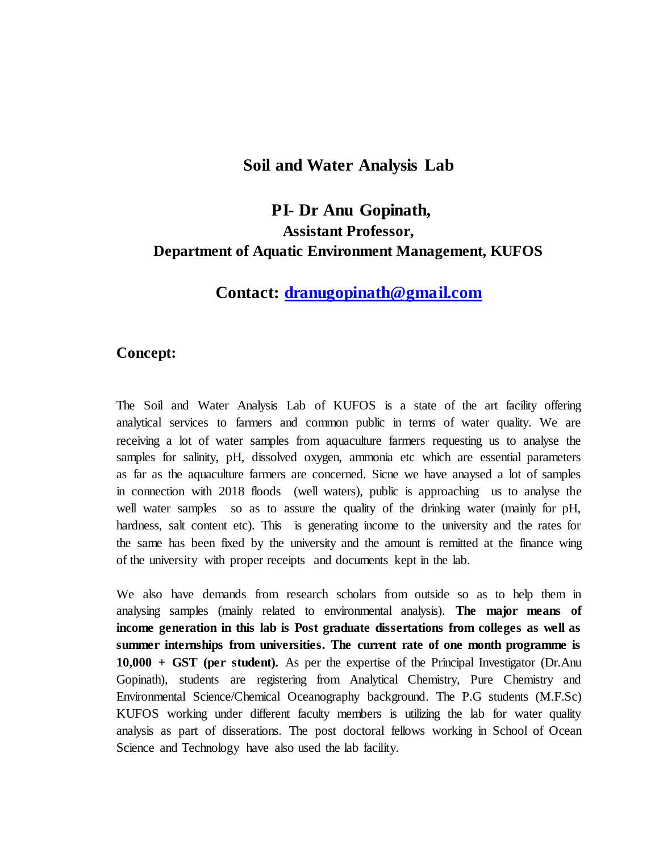### **Soil and Water Analysis Lab**

# **PI- Dr Anu Gopinath, Assistant Professor, Department of Aquatic Environment Management, KUFOS**

## **Contact: [dranugopinath@gmail.com](mailto:dranugopinath@gmail.com)**

### **Concept:**

The Soil and Water Analysis Lab of KUFOS is a state of the art facility offering analytical services to farmers and common public in terms of water quality. We are receiving a lot of water samples from aquaculture farmers requesting us to analyse the samples for salinity, pH, dissolved oxygen, ammonia etc which are essential parameters as far as the aquaculture farmers are concerned. Sicne we have anaysed a lot of samples in connection with 2018 floods (well waters), public is approaching us to analyse the well water samples so as to assure the quality of the drinking water (mainly for pH, hardness, salt content etc). This is generating income to the university and the rates for the same has been fixed by the university and the amount is remitted at the finance wing of the university with proper receipts and documents kept in the lab.

We also have demands from research scholars from outside so as to help them in analysing samples (mainly related to environmental analysis). **The major means of income generation in this lab is Post graduate dissertations from colleges as well as summer internships from universities. The current rate of one month programme is 10,000 + GST (per student).** As per the expertise of the Principal Investigator (Dr.Anu Gopinath), students are registering from Analytical Chemistry, Pure Chemistry and Environmental Science/Chemical Oceanography background. The P.G students (M.F.Sc) KUFOS working under different faculty members is utilizing the lab for water quality analysis as part of disserations. The post doctoral fellows working in School of Ocean Science and Technology have also used the lab facility.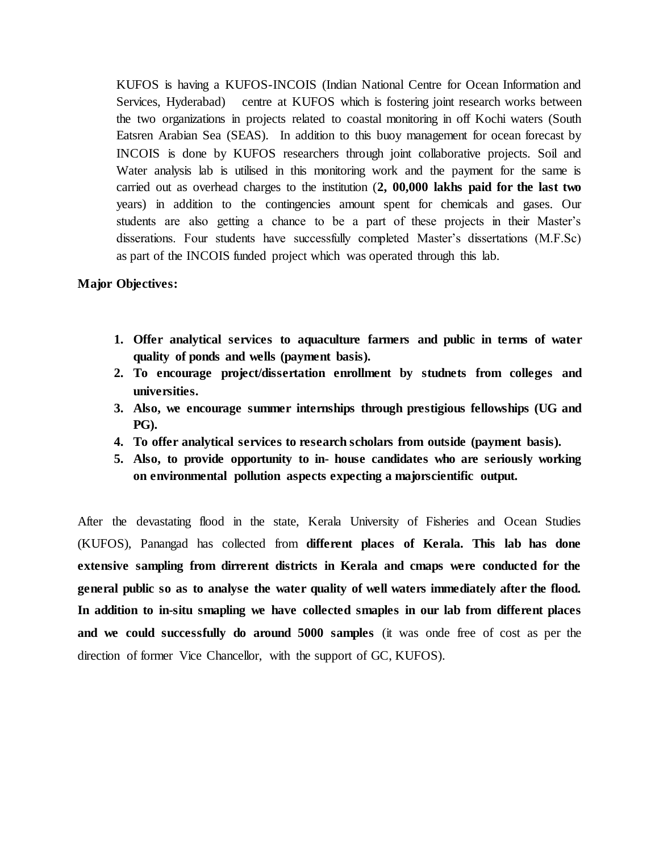KUFOS is having a KUFOS-INCOIS (Indian National Centre for Ocean Information and Services, Hyderabad) centre at KUFOS which is fostering joint research works between the two organizations in projects related to coastal monitoring in off Kochi waters (South Eatsren Arabian Sea (SEAS). In addition to this buoy management for ocean forecast by INCOIS is done by KUFOS researchers through joint collaborative projects. Soil and Water analysis lab is utilised in this monitoring work and the payment for the same is carried out as overhead charges to the institution (**2, 00,000 lakhs paid for the last two** years) in addition to the contingencies amount spent for chemicals and gases. Our students are also getting a chance to be a part of these projects in their Master's disserations. Four students have successfully completed Master's dissertations (M.F.Sc) as part of the INCOIS funded project which was operated through this lab.

### **Major Objectives:**

- **1. Offer analytical services to aquaculture farmers and public in terms of water quality of ponds and wells (payment basis).**
- **2. To encourage project/dissertation enrollment by studnets from colleges and universities.**
- **3. Also, we encourage summer internships through prestigious fellowships (UG and PG).**
- **4. To offer analytical services to research scholars from outside (payment basis).**
- **5. Also, to provide opportunity to in- house candidates who are seriously working on environmental pollution aspects expecting a majorscientific output.**

After the devastating flood in the state, Kerala University of Fisheries and Ocean Studies (KUFOS), Panangad has collected from **different places of Kerala. This lab has done extensive sampling from dirrerent districts in Kerala and cmaps were conducted for the general public so as to analyse the water quality of well waters immediately after the flood. In addition to in-situ smapling we have collected smaples in our lab from different places and we could successfully do around 5000 samples** (it was onde free of cost as per the direction of former Vice Chancellor, with the support of GC, KUFOS).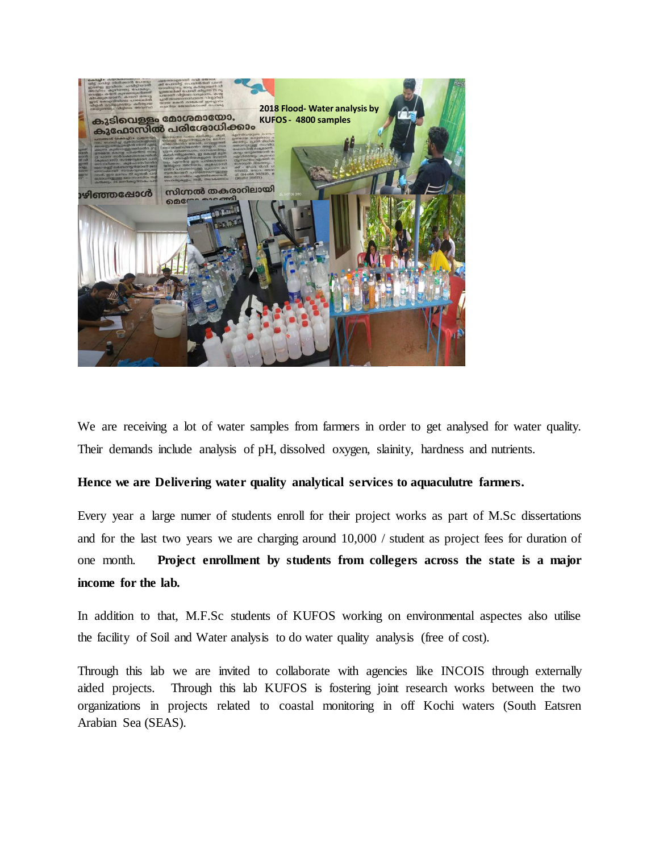

We are receiving a lot of water samples from farmers in order to get analysed for water quality. Their demands include analysis of pH, dissolved oxygen, slainity, hardness and nutrients.

#### **Hence we are Delivering water quality analytical services to aquaculutre farmers.**

Every year a large numer of students enroll for their project works as part of M.Sc dissertations and for the last two years we are charging around 10,000 / student as project fees for duration of one month. **Project enrollment by students from collegers across the state is a major income for the lab.** 

In addition to that, M.F.Sc students of KUFOS working on environmental aspectes also utilise the facility of Soil and Water analysis to do water quality analysis (free of cost).

Through this lab we are invited to collaborate with agencies like INCOIS through externally aided projects. Through this lab KUFOS is fostering joint research works between the two organizations in projects related to coastal monitoring in off Kochi waters (South Eatsren Arabian Sea (SEAS).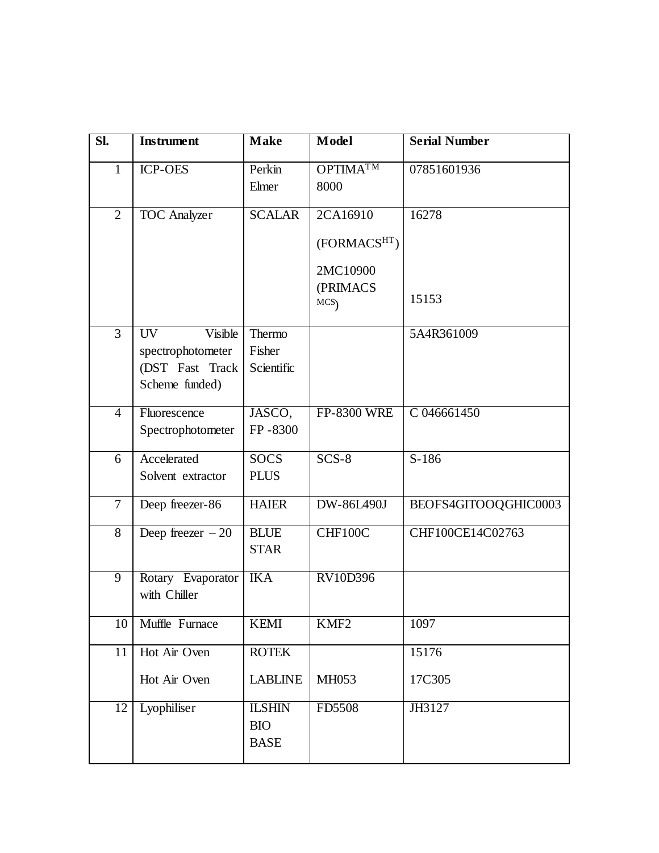| SI.            | <b>Instrument</b>                                                       | <b>Make</b>                                | Model                                                  | <b>Serial Number</b> |
|----------------|-------------------------------------------------------------------------|--------------------------------------------|--------------------------------------------------------|----------------------|
| 1              | <b>ICP-OES</b>                                                          | Perkin<br>Elmer                            | <b>OPTIMATM</b><br>8000                                | 07851601936          |
| $\overline{2}$ | <b>TOC</b> Analyzer                                                     | <b>SCALAR</b>                              | 2CA16910<br>(FORMACSHT)<br>2MC10900<br>(PRIMACS<br>MCS | 16278<br>15153       |
| $\overline{3}$ | UV<br>Visible<br>spectrophotometer<br>(DST Fast Track<br>Scheme funded) | Thermo<br>Fisher<br>Scientific             |                                                        | 5A4R361009           |
| $\overline{4}$ | Fluorescence<br>Spectrophotometer                                       | JASCO,<br>FP-8300                          | <b>FP-8300 WRE</b>                                     | C 046661450          |
| 6              | Accelerated<br>Solvent extractor                                        | <b>SOCS</b><br><b>PLUS</b>                 | $SCS-8$                                                | $S-186$              |
| $\overline{7}$ | Deep freezer-86                                                         | <b>HAIER</b>                               | DW-86L490J                                             | BEOFS4GITOOQGHIC0003 |
| 8              | Deep freezer $-20$                                                      | <b>BLUE</b><br><b>STAR</b>                 | CHF100C                                                | CHF100CE14C02763     |
| $\overline{9}$ | Rotary Evaporator<br>with Chiller                                       | <b>IKA</b>                                 | <b>RV10D396</b>                                        |                      |
| 10             | Muffle Furnace                                                          | <b>KEMI</b>                                | KMF <sub>2</sub>                                       | 1097                 |
| 11             | Hot Air Oven                                                            | <b>ROTEK</b>                               |                                                        | 15176                |
|                | Hot Air Oven                                                            | <b>LABLINE</b>                             | MH053                                                  | 17C305               |
| 12             | Lyophiliser                                                             | <b>ILSHIN</b><br><b>BIO</b><br><b>BASE</b> | FD5508                                                 | JH3127               |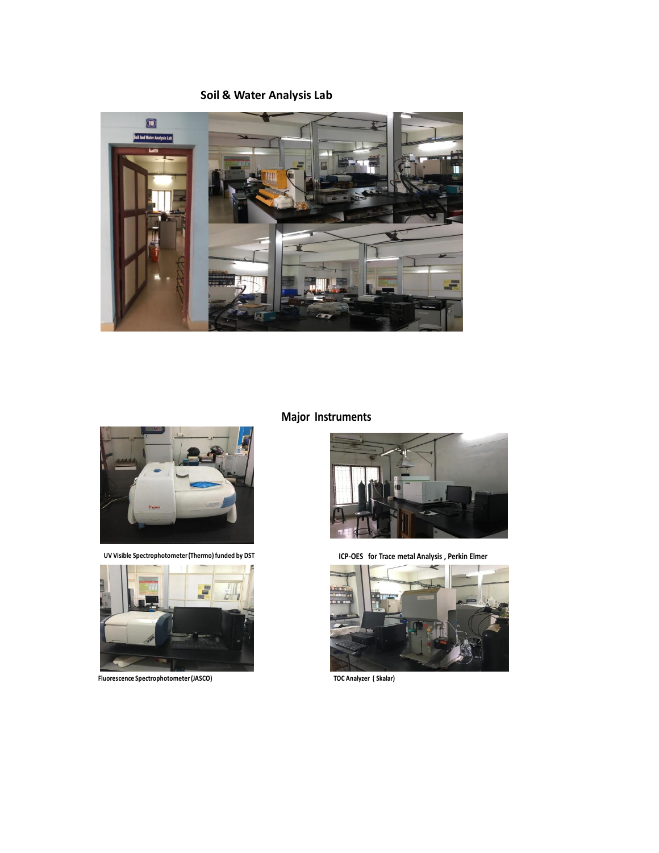**Soil & Water Analysis Lab**





**UV Visible Spectrophotometer (Thermo) funded by DST**



**Fluorescence Spectrophotometer (JASCO)**

## **Major Instruments**



**ICP-OES for Trace metal Analysis , Perkin Elmer**



**TOC Analyzer ( Skalar)**